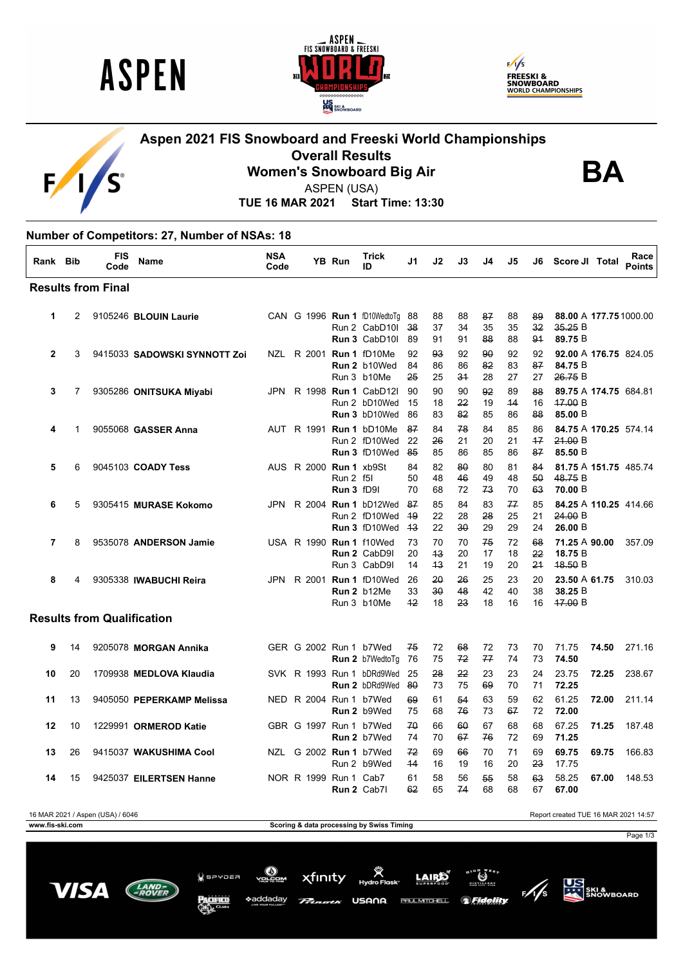

 $\overline{F}$ 





## **Aspen 2021 FIS Snowboard and Freeski World Championships Overall Results Women's Snowboard Big Air**



ASPEN (USA)

**TUE 16 MAR 2021 Start Time: 13:30**

## **Number of Competitors: 27, Number of NSAs: 18**

| Rank Bib       |                | <b>FIS</b><br>Code                | <b>Name</b>                  | <b>NSA</b><br>Code |                               | YB Run                                | <b>Trick</b><br>ID                                                | J1                | J2             | J3             | J4             | J5             | J6             | Score JI Total                              |       | Race<br><b>Points</b> |
|----------------|----------------|-----------------------------------|------------------------------|--------------------|-------------------------------|---------------------------------------|-------------------------------------------------------------------|-------------------|----------------|----------------|----------------|----------------|----------------|---------------------------------------------|-------|-----------------------|
|                |                | <b>Results from Final</b>         |                              |                    |                               |                                       |                                                                   |                   |                |                |                |                |                |                                             |       |                       |
| 1              | $\overline{2}$ |                                   | 9105246 BLOUIN Laurie        |                    |                               |                                       | CAN G 1996 Run 1 fD10WedtoTq 88<br>Run 2 CabD10I<br>Run 3 CabD10I | -38<br>89         | 88<br>37<br>91 | 88<br>34<br>91 | 87<br>35<br>88 | 88<br>35<br>88 | 89<br>32<br>94 | 88.00 A 177.75 1000.00<br>35.25B<br>89.75 B |       |                       |
| $\mathbf{2}$   | 3              |                                   | 9415033 SADOWSKI SYNNOTT Zoi |                    |                               |                                       | NZL R 2001 <b>Run 1</b> fD10Me<br>Run 2 b10Wed<br>Run 3 b10Me     | 92<br>84<br>25    | 93<br>86<br>25 | 92<br>86<br>34 | 90<br>82<br>28 | 92<br>83<br>27 | 92<br>87<br>27 | 92.00 A 176.75 824.05<br>84.75 B<br>26.75 B |       |                       |
| 3              | 7              |                                   | 9305286 ONITSUKA Miyabi      | JPN.               |                               |                                       | R 1998 <b>Run 1</b> CabD121<br>Run 2 bD10Wed<br>Run 3 bD10Wed     | 90<br>15<br>86    | 90<br>18<br>83 | 90<br>22<br>82 | 92<br>19<br>85 | 89<br>44<br>86 | 88<br>16<br>88 | 89.75 A 174.75 684.81<br>47.00 B<br>85.00 B |       |                       |
| 4              | 1              |                                   | 9055068 <b>GASSER Anna</b>   |                    |                               |                                       | AUT R 1991 Run 1 bD10Me<br>Run 2 fD10Wed<br>Run 3 fD10Wed         | 87<br>22<br>-85   | 84<br>26<br>85 | 78<br>21<br>86 | 84<br>20<br>85 | 85<br>21<br>86 | 86<br>17<br>87 | 84.75 A 170.25 574.14<br>21.00 B<br>85.50 B |       |                       |
| 5              | 6              |                                   | 9045103 COADY Tess           |                    | AUS R 2000 <b>Run 1</b> xb9St | <b>Run 2 f5l</b><br><b>Run 3 fD9I</b> |                                                                   | 84<br>50<br>70    | 82<br>48<br>68 | 80<br>46<br>72 | 80<br>49<br>73 | 81<br>48<br>70 | 84<br>50<br>63 | 81.75 A 151.75 485.74<br>48.75 B<br>70.00 B |       |                       |
| 6              | 5              |                                   | 9305415 MURASE Kokomo        | JPN                |                               |                                       | R 2004 Run 1 bD12Wed<br>Run 2 fD10Wed<br>Run 3 fD10Wed            | 87<br>-49<br>$+3$ | 85<br>22<br>22 | 84<br>28<br>30 | 83<br>28<br>29 | 77<br>25<br>29 | 85<br>21<br>24 | 84.25 A 110.25 414.66<br>24.00 B<br>26.00 B |       |                       |
| $\overline{7}$ | 8              |                                   | 9535078 ANDERSON Jamie       |                    |                               |                                       | USA R 1990 Run 1 f10Wed<br>Run 2 CabD9I<br>Run 3 CabD9I           | 73<br>20<br>14    | 70<br>43<br>43 | 70<br>20<br>21 | 75<br>17<br>19 | 72<br>18<br>20 | 68<br>22<br>24 | 71.25 A 90.00<br>18.75 B<br>48.50 B         |       | 357.09                |
| 8              | 4              |                                   | 9305338 IWABUCHI Reira       | <b>JPN</b>         |                               |                                       | R 2001 <b>Run 1</b> fD10Wed<br>Run 2 b12Me<br>Run 3 b10Me         | 26<br>33<br>12    | 20<br>30<br>18 | 26<br>48<br>23 | 25<br>42<br>18 | 23<br>40<br>16 | 20<br>38<br>16 | 23.50 A 61.75<br>38.25 B<br>47.00 B         |       | 310.03                |
|                |                | <b>Results from Qualification</b> |                              |                    |                               |                                       |                                                                   |                   |                |                |                |                |                |                                             |       |                       |
| 9              | 14             |                                   | 9205078 MORGAN Annika        |                    | GER G 2002 Run 1 b7Wed        |                                       | Run 2 b7WedtoTg                                                   | 75<br>76          | 72<br>75       | 68<br>72       | 72<br>77       | 73<br>74       | 70<br>73       | 71.75<br>74.50                              | 74.50 | 271.16                |
| 10             | 20             |                                   | 1709938 MEDLOVA Klaudia      |                    |                               |                                       | SVK R 1993 Run 1 bDRd9Wed<br>Run 2 bDRd9Wed                       | 25<br>-80         | 28<br>73       | 22<br>75       | 23<br>69       | 23<br>70       | 24<br>71       | 23.75<br>72.25                              | 72.25 | 238.67                |
| 11             | 13             |                                   | 9405050 PEPERKAMP Melissa    |                    | NED R 2004 Run 1 b7Wed        |                                       | Run 2 b9Wed                                                       | 69<br>75          | 61<br>68       | 54<br>76       | 63<br>73       | 59<br>67       | 62<br>72       | 61.25<br>72.00                              | 72.00 | 211.14                |
| 12             | 10             |                                   | 1229991 ORMEROD Katie        |                    | GBR G 1997 Run 1 b7Wed        |                                       | <b>Run 2</b> b7Wed                                                | 70<br>74          | 66<br>70       | 60<br>67       | 67<br>76       | 68<br>72       | 68<br>69       | 67.25<br>71.25                              | 71.25 | 187.48                |
| 13             | 26             |                                   | 9415037 WAKUSHIMA Cool       |                    | NZL G 2002 Run 1 b7Wed        |                                       | Run 2 b9Wed                                                       | 72<br>44          | 69<br>16       | 66<br>19       | 70<br>16       | 71<br>20       | 69<br>23       | 69.75<br>17.75                              | 69.75 | 166.83                |

**www.fis-ski.com Scoring & data processing by Swiss Timing**

15 9425037 **EILERTSEN Hanne** NOR 1999 **Run 2** Cab7I 62 65 74 68 68 67 **67.00**

15 9425037 **EILERTSEN Hanne** NOR R 1999 Run 1 Cab7 61 58 56 55 58 63 58.25 **67.00** 148.53

16 MAR 2021 / Aspen (USA) / 6046 Report created TUE 16 MAR 2021 14:57

Page 1/3











**LAIRE PAUL MITCHELL**  $\circ$  if



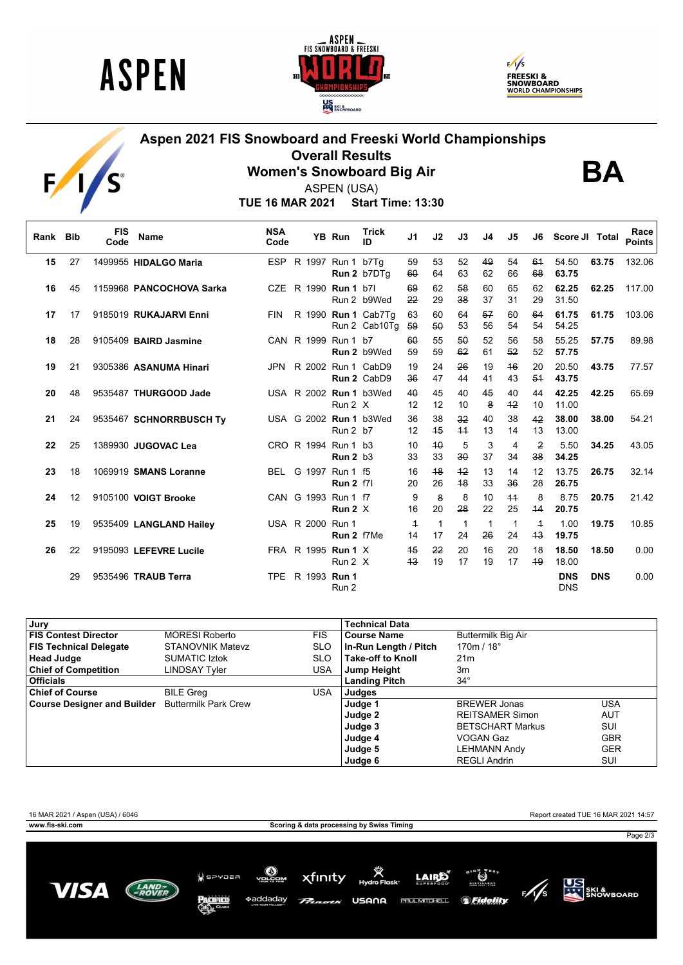





**BA**

## **Aspen 2021 FIS Snowboard and Freeski World Championships Overall Results**



**Women's Snowboard Big Air** ASPEN (USA)

**TUE 16 MAR 2021 Start Time: 13:30**

| Rank Bib |    | <b>FIS</b><br>Code | <b>Name</b>              | <b>NSA</b><br>Code |  | <b>YB Run</b>                           | <b>Trick</b><br>ID                   | J <sub>1</sub>       | J2       | J3         | J <sub>4</sub> | J <sub>5</sub>     | J6                   | Score JI Total           |            | Race<br><b>Points</b> |
|----------|----|--------------------|--------------------------|--------------------|--|-----------------------------------------|--------------------------------------|----------------------|----------|------------|----------------|--------------------|----------------------|--------------------------|------------|-----------------------|
| 15       | 27 |                    | 1499955 HIDALGO Maria    |                    |  | ESP R 1997 Run 1 b7Tq                   | Run 2 b7DTg                          | 59<br>60             | 53<br>64 | 52<br>63   | 49<br>62       | 54<br>66           | 61<br>68             | 54.50<br>63.75           | 63.75      | 132.06                |
| 16       | 45 |                    | 1159968 PANCOCHOVA Sarka |                    |  | CZE R 1990 Run 1 b7l                    | Run 2 b9Wed                          | 69<br>22             | 62<br>29 | 58<br>38   | 60<br>37       | 65<br>31           | 62<br>29             | 62.25<br>31.50           | 62.25      | 117.00                |
| 17       | 17 |                    | 9185019 RUKAJARVI Enni   | <b>FIN</b>         |  |                                         | R 1990 Run 1 Cab7Tq<br>Run 2 Cab10Tq | 63<br>59             | 60<br>50 | 64<br>53   | 57<br>56       | 60<br>54           | 64<br>54             | 61.75<br>54.25           | 61.75      | 103.06                |
| 18       | 28 |                    | 9105409 BAIRD Jasmine    |                    |  | CAN R 1999 Run 1 b7                     | Run 2 b9Wed                          | 60<br>59             | 55<br>59 | 50<br>62   | 52<br>61       | 56<br>52           | 58<br>52             | 55.25<br>57.75           | 57.75      | 89.98                 |
| 19       | 21 |                    | 9305386 ASANUMA Hinari   | <b>JPN</b>         |  |                                         | R 2002 Run 1 CabD9<br>Run 2 CabD9    | 19<br>36             | 24<br>47 | 26<br>44   | 19<br>41       | 46<br>43           | 20<br>54             | 20.50<br>43.75           | 43.75      | 77.57                 |
| 20       | 48 |                    | 9535487 THURGOOD Jade    |                    |  | Run 2 X                                 | USA R 2002 Run 1 b3Wed               | 40<br>12             | 45<br>12 | 40<br>10   | 45<br>8        | 40<br>$+2$         | 44<br>10             | 42.25<br>11.00           | 42.25      | 65.69                 |
| 21       | 24 |                    | 9535467 SCHNORRBUSCH Ty  |                    |  | <b>Run 2 b7</b>                         | USA G 2002 Run 1 b3Wed               | 36<br>12             | 38<br>45 | 32<br>$+4$ | 40<br>13       | 38<br>14           | 42<br>13             | 38.00<br>13.00           | 38.00      | 54.21                 |
| 22       | 25 |                    | 1389930 JUGOVAC Lea      |                    |  | CRO R 1994 Run 1 b3<br><b>Run 2 b3</b>  |                                      | 10<br>33             | 40<br>33 | 5<br>30    | 3<br>37        | 4<br>34            | $\overline{2}$<br>38 | 5.50<br>34.25            | 34.25      | 43.05                 |
| 23       | 18 |                    | 1069919 SMANS Loranne    |                    |  | BEL G 1997 Run 1 f5<br><b>Run 2 f7l</b> |                                      | 16<br>20             | 48<br>26 | $+2$<br>48 | 13<br>33       | 14<br>36           | 12<br>28             | 13.75<br>26.75           | 26.75      | 32.14                 |
| 24       | 12 |                    | 9105100 VOIGT Brooke     |                    |  | CAN G 1993 Run 1 f7<br>Run $2 \times$   |                                      | 9<br>16              | 8<br>20  | 8<br>28    | 10<br>22       | $+4$<br>25         | 8<br>44              | 8.75<br>20.75            | 20.75      | 21.42                 |
| 25       | 19 |                    | 9535409 LANGLAND Hailey  |                    |  | USA R 2000 Run 1<br>Run 2 f7Me          |                                      | $\overline{1}$<br>14 | 1<br>17  | 1<br>24    | 1<br>26        | $\mathbf{1}$<br>24 | $\overline{+}$<br>43 | 1.00<br>19.75            | 19.75      | 10.85                 |
| 26       | 22 |                    | 9195093 LEFEVRE Lucile   |                    |  | FRA R 1995 <b>Run 1</b> X<br>Run 2 X    |                                      | 45<br>43             | 22<br>19 | 20<br>17   | 16<br>19       | 20<br>17           | 18<br>49             | 18.50<br>18.00           | 18.50      | 0.00                  |
|          | 29 |                    | 9535496 TRAUB Terra      |                    |  | TPE R 1993 Run 1<br>Run 2               |                                      |                      |          |            |                |                    |                      | <b>DNS</b><br><b>DNS</b> | <b>DNS</b> | 0.00                  |

| Jury                                             |                         |            | <b>Technical Data</b>    |                         |            |
|--------------------------------------------------|-------------------------|------------|--------------------------|-------------------------|------------|
| FIS Contest Director                             | <b>MORESI Roberto</b>   | <b>FIS</b> | <b>Course Name</b>       | Buttermilk Big Air      |            |
| <b>FIS Technical Delegate</b>                    | <b>STANOVNIK Matevz</b> | <b>SLO</b> | In-Run Length / Pitch    | 170m / 18°              |            |
| <b>Head Judge</b>                                | <b>SUMATIC Iztok</b>    | <b>SLO</b> | <b>Take-off to Knoll</b> | 21 <sub>m</sub>         |            |
| <b>Chief of Competition</b>                      | LINDSAY Tyler           | <b>USA</b> | Jump Height              | 3m                      |            |
| <b>Officials</b>                                 |                         |            | <b>Landing Pitch</b>     | $34^\circ$              |            |
| <b>Chief of Course</b>                           | <b>BILE Greg</b>        | USA        | Judges                   |                         |            |
| Course Designer and Builder Buttermilk Park Crew |                         |            | Judge 1                  | <b>BREWER Jonas</b>     | USA        |
|                                                  |                         |            | Judge 2                  | <b>REITSAMER Simon</b>  | AUT        |
|                                                  |                         |            | Judge 3                  | <b>BETSCHART Markus</b> | SUI        |
|                                                  |                         |            | Judge 4                  | VOGAN Gaz               | <b>GBR</b> |
|                                                  |                         |            | Judge 5                  | <b>LEHMANN Andy</b>     | <b>GER</b> |
|                                                  |                         |            | Judge 6                  | <b>REGLI Andrin</b>     | SUI        |